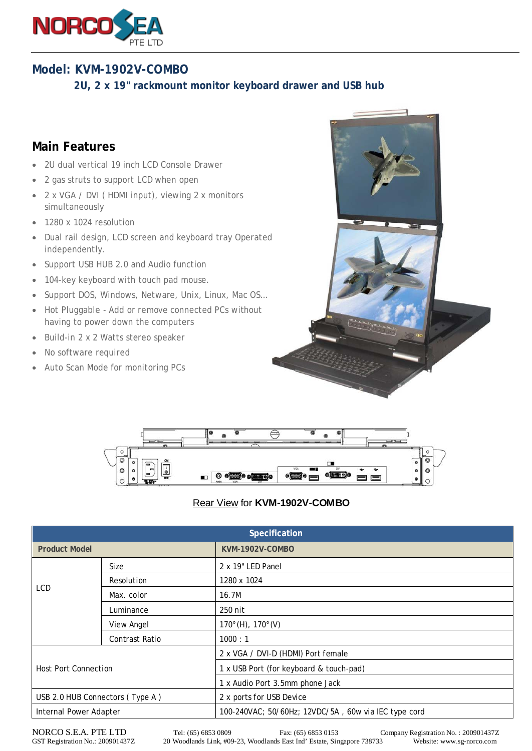

## **Model: KVM-1902V-COMBO**

 **2U, 2 x 19" rackmount monitor keyboard drawer and USB hub**

## **Main Features**

- 2U dual vertical 19 inch LCD Console Drawer
- 2 gas struts to support LCD when open
- 2 x VGA / DVI ( HDMI input), viewing 2 x monitors simultaneously
- 1280 x 1024 resolution
- Dual rail design, LCD screen and keyboard tray Operated independently.
- Support USB HUB 2.0 and Audio function
- 104-key keyboard with touch pad mouse.
- Support DOS, Windows, Netware, Unix, Linux, Mac OS…
- Hot Pluggable Add or remove connected PCs without having to power down the computers
- Build-in 2 x 2 Watts stereo speaker
- No software required
- Auto Scan Mode for monitoring PCs





## Rear View for **KVM-1902V-COMBO**

| Specification                   |                       |                                                      |
|---------------------------------|-----------------------|------------------------------------------------------|
| <b>Product Model</b>            |                       | KVM-1902V-COMBO                                      |
| LCD                             | Size                  | 2 x 19" LED Panel                                    |
|                                 | Resolution            | 1280 x 1024                                          |
|                                 | Max. color            | 16.7M                                                |
|                                 | Luminance             | 250 nit                                              |
|                                 | View Angel            | $170^{\circ}$ (H), $170^{\circ}$ (V)                 |
|                                 | <b>Contrast Ratio</b> | 1000:1                                               |
| <b>Host Port Connection</b>     |                       | 2 x VGA / DVI-D (HDMI) Port female                   |
|                                 |                       | 1 x USB Port (for keyboard & touch-pad)              |
|                                 |                       | 1 x Audio Port 3.5mm phone Jack                      |
| USB 2.0 HUB Connectors (Type A) |                       | 2 x ports for USB Device                             |
| Internal Power Adapter          |                       | 100-240VAC; 50/60Hz; 12VDC/5A, 60w via IEC type cord |

NORCO S.E.A. PTE LTD Tel: (65) 6853 0809 Fax: (65) 6853 0153 Company Registration No. : 200901437Z<br>GST Registration No.: 200901437Z 20 Woodlands Link, #09-23, Woodlands East Ind' Estate, Singapore 738733 Website: www.sg-no 20 Woodlands Link, #09-23, Woodlands East Ind' Estate, Singapore 738733